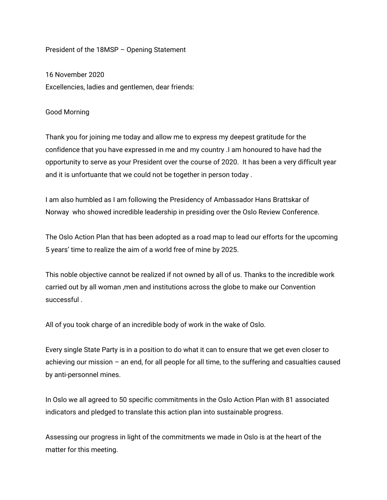## President of the 18MSP – Opening Statement

16 November 2020 Excellencies, ladies and gentlemen, dear friends:

## Good Morning

Thank you for joining me today and allow me to express my deepest gratitude for the confidence that you have expressed in me and my country .I am honoured to have had the opportunity to serve as your President over the course of 2020. It has been a very difficult year and it is unfortuante that we could not be together in person today .

I am also humbled as I am following the Presidency of Ambassador Hans Brattskar of Norway who showed incredible leadership in presiding over the Oslo Review Conference.

The Oslo Action Plan that has been adopted as a road map to lead our efforts for the upcoming 5 years' time to realize the aim of a world free of mine by 2025.

This noble objective cannot be realized if not owned by all of us. Thanks to the incredible work carried out by all woman ,men and institutions across the globe to make our Convention successful .

All of you took charge of an incredible body of work in the wake of Oslo.

Every single State Party is in a position to do what it can to ensure that we get even closer to achieving our mission – an end, for all people for all time, to the suffering and casualties caused by anti-personnel mines.

In Oslo we all agreed to 50 specific commitments in the Oslo Action Plan with 81 associated indicators and pledged to translate this action plan into sustainable progress.

Assessing our progress in light of the commitments we made in Oslo is at the heart of the matter for this meeting.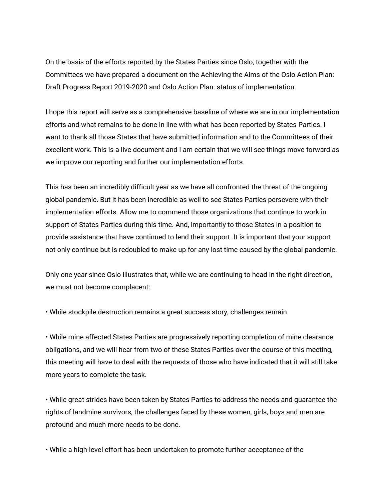On the basis of the efforts reported by the States Parties since Oslo, together with the Committees we have prepared a document on the Achieving the Aims of the Oslo Action Plan: Draft Progress Report 2019-2020 and Oslo Action Plan: status of implementation.

I hope this report will serve as a comprehensive baseline of where we are in our implementation efforts and what remains to be done in line with what has been reported by States Parties. I want to thank all those States that have submitted information and to the Committees of their excellent work. This is a live document and I am certain that we will see things move forward as we improve our reporting and further our implementation efforts.

This has been an incredibly difficult year as we have all confronted the threat of the ongoing global pandemic. But it has been incredible as well to see States Parties persevere with their implementation efforts. Allow me to commend those organizations that continue to work in support of States Parties during this time. And, importantly to those States in a position to provide assistance that have continued to lend their support. It is important that your support not only continue but is redoubled to make up for any lost time caused by the global pandemic.

Only one year since Oslo illustrates that, while we are continuing to head in the right direction, we must not become complacent:

• While stockpile destruction remains a great success story, challenges remain.

• While mine affected States Parties are progressively reporting completion of mine clearance obligations, and we will hear from two of these States Parties over the course of this meeting, this meeting will have to deal with the requests of those who have indicated that it will still take more years to complete the task.

• While great strides have been taken by States Parties to address the needs and guarantee the rights of landmine survivors, the challenges faced by these women, girls, boys and men are profound and much more needs to be done.

• While a high-level effort has been undertaken to promote further acceptance of the